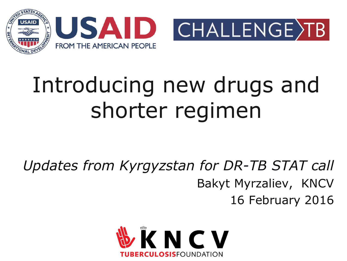



# Introducing new drugs and shorter regimen

*Updates from Kyrgyzstan for DR-TB STAT call* Bakyt Myrzaliev, KNCV 16 February 2016

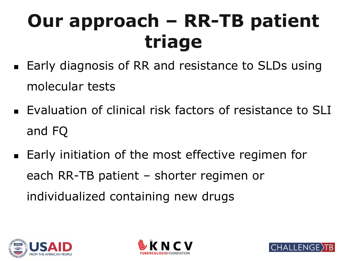## **Our approach – RR-TB patient triage**

- Early diagnosis of RR and resistance to SLDs using molecular tests
- **Evaluation of clinical risk factors of resistance to SLI** and FQ
- Early initiation of the most effective regimen for each RR-TB patient – shorter regimen or individualized containing new drugs





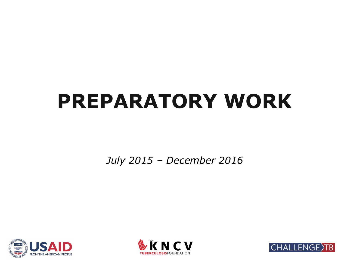### **PREPARATORY WORK**

*July 2015 – December 2016*





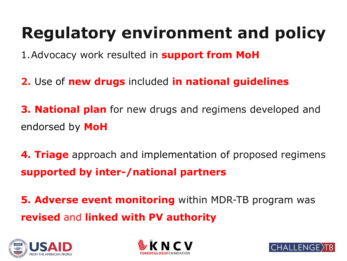### **Regulatory environment and policy**

1.Advocacy work resulted in **support from MoH**

- **2.** Use of **new drugs** included **in national guidelines**
- **3. National plan** for new drugs and regimens developed and endorsed by **MoH**
- **4. Triage** approach and implementation of proposed regimens **supported by inter-/national partners**

**5. Adverse event monitoring** within MDR-TB program was **revised** and **linked with PV authority** 





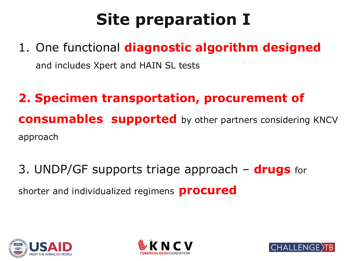### **Site preparation I**

1. One functional **diagnostic algorithm designed** and includes Xpert and HAIN SL tests

#### **2. Specimen transportation, procurement of consumables supported** by other partners considering KNCV approach

3. UNDP/GF supports triage approach – **drugs** for shorter and individualized regimens **procured**





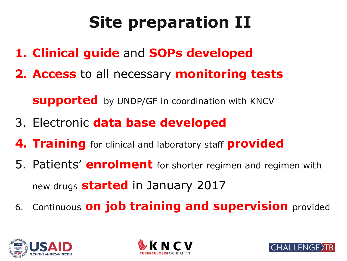### **Site preparation II**

- **1. Clinical guide** and **SOPs developed**
- **2. Access** to all necessary **monitoring tests**

**supported** by UNDP/GF in coordination with KNCV

- 3. Electronic **data base developed**
- **4. Training** for clinical and laboratory staff **provided**
- 5. Patients' **enrolment** for shorter regimen and regimen with new drugs **started** in January 2017
- 6. Continuous **on job training and supervision** provided





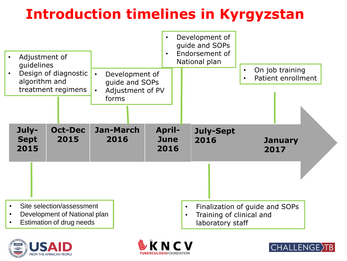#### **Introduction timelines in Kyrgyzstan**







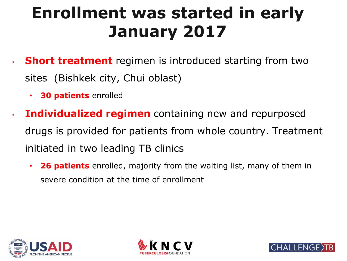#### **Enrollment was started in early January 2017**

- **Short treatment** regimen is introduced starting from two sites (Bishkek city, Chui oblast)
	- **30 patients** enrolled
- **Individualized regimen** containing new and repurposed drugs is provided for patients from whole country. Treatment initiated in two leading TB clinics
	- **26 patients** enrolled, majority from the waiting list, many of them in severe condition at the time of enrollment





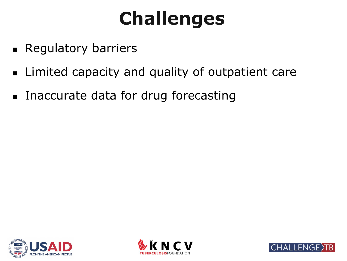### **Challenges**

- **Regulatory barriers**
- **EXA)** Limited capacity and quality of outpatient care
- **Inaccurate data for drug forecasting**